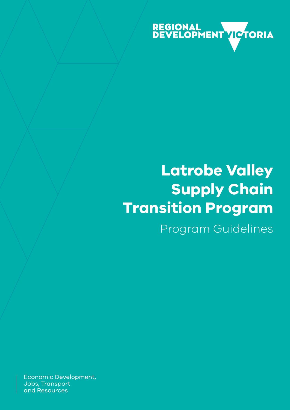

# **Latrobe Valley Supply Chain Transition Program**

Program Guidelines

Economic Development, Jobs, Transport and Resources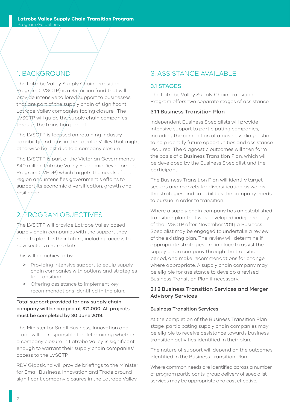# 1. BACKGROUND

The Latrobe Valley Supply Chain Transition Program (LVSCTP) is a \$5 million fund that will provide intensive tailored/support to businesses that are part of the supply chain of significant Latrobe Valley companies facing closure. The LVSCTP will quide the supply chain companies through the transition period.

The LVSCTP is focused on retaining industry capability and jobs in the Latrobe Valley that might otherwise be lost due to a company closure.

The LVSCTP is part of the Victorian Government's \$40 million Latrobe Valley Economic Development Program (LVEDP) which targets the needs of the region and intensifies government's efforts to support its economic diversification, growth and resilience.

# 2. PROGRAM OBJECTIVES

The LVSCTP will provide Latrobe Valley based supply chain companies with the support they need to plan for their future, including access to new sectors and markets.

This will be achieved by:

- > Providing intensive support to equip supply chain companies with options and strategies for transition
- > Offering assistance to implement key recommendations identified in the plan.

### Total support provided for any supply chain company will be capped at \$71,000. All projects must be completed by 30 June 2019.

The Minister for Small Business, Innovation and Trade will be responsible for determining whether a company closure in Latrobe Valley is significant enough to warrant their supply chain companies' access to the LVSCTP.

RDV Gippsland will provide briefings to the Minister for Small Business, Innovation and Trade around significant company closures in the Latrobe Valley.

# 3. ASSISTANCE AVAILABLE

## 3.1 STAGES

The Latrobe Valley Supply Chain Transition Program offers two separate stages of assistance.

#### 3.1.1 Business Transition Plan

Independent Business Specialists will provide intensive support to participating companies, including the completion of a business diagnostic to help identify future opportunities and assistance required. The diagnostic outcomes will then form the basis of a Business Transition Plan, which will be developed by the Business Specialist and the participant.

The Business Transition Plan will identify target sectors and markets for diversification as wellas the strategies and capabilities the company needs to pursue in order to transition.

Where a supply chain company has an established transition plan that was developed independently of the LVSCTP after November 2016, a Business Specialist may be engaged to undertake a review of the existing plan. The review will determine if appropriate strategies are in place to assist the supply chain company through the transition period, and make recommendations for change where appropriate. A supply chain company may be eligible for assistance to develop a revised Business Transition Plan if necessary.

#### 3.1.2 Business Transition Services and Merger Advisory Services

#### Business Transition Services

At the completion of the Business Transition Plan stage, participating supply chain companies may be eligible to receive assistance towards business transition activities identified in their plan.

The nature of support will depend on the outcomes identified in the Business Transition Plan.

Where common needs are identified across a number of program participants, group delivery of specialist services may be appropriate and cost effective.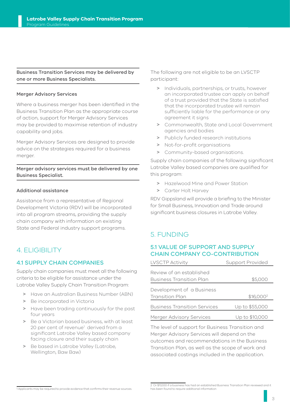#### Business Transition Services may be delivered by one or more Business Specialists.

#### Merger Advisory Services

Where a business merger has been identified in the Business Transition Plan as the appropriate course of action, support for Merger Advisory Services may be provided to maximise retention of industry capability and jobs.

Merger Advisory Services are designed to provide advice on the strategies required for a business merger.

#### Merger advisory services must be delivered by one Business Specialist.

#### Additional assistance

Assistance from a representative of Regional Development Victoria (RDV) will be incorporated into all program streams, providing the supply chain company with information on existing State and Federal industry support programs.

## 4. ELIGIBILITY

#### 4.1 SUPPLY CHAIN COMPANIES

Supply chain companies must meet all the following criteria to be eligible for assistance under the Latrobe Valley Supply Chain Transition Program:

- > Have an Australian Business Number (ABN)
- > Be incorporated in Victoria
- > Have been trading continuously for the past four years
- > Be a Victorian based business, with at least 20 per cent of revenue<sup>1</sup> derived from a significant Latrobe Valley based company facing closure and their supply chain
- > Be based in Latrobe Valley (Latrobe, Wellington, Baw Baw)

The following are not eligible to be an LVSCTP participant:

- > Individuals, partnerships, or trusts, however an incorporated trustee can apply on behalf of a trust provided that the State is satisfied that the incorporated trustee will remain sufficiently liable for the performance or any agreement it signs
- > Commonwealth, State and Local Government agencies and bodies
- > Publicly funded research institutions
- > Not-for-profit organisations
- > Community-based organisations.

Supply chain companies of the following significant Latrobe Valley based companies are qualified for this program:

- > Hazelwood Mine and Power Station
- > Carter Holt Harvey

RDV Gippsland will provide a briefing to the Minister for Small Business, Innovation and Trade around significant business closures in Latrobe Valley.

## 5. FUNDING

#### 5.1 VALUE OF SUPPORT AND SUPPLY CHAIN COMPANY CO-CONTRIBUTION

| <b>LVSCTP Activity</b>              | <b>Support Provided</b> |
|-------------------------------------|-------------------------|
| Review of an established            |                         |
| <b>Business Transition Plan</b>     | \$5,000                 |
| Development of a Business           |                         |
| <b>Transition Plan</b>              | \$16,000 <sup>2</sup>   |
| <b>Business Transition Services</b> | Up to \$55,000          |
| Merger Advisory Services            | Up to \$10,000          |

The level of support for Business Transition and Merger Advisory Services will depend on the outcomes and recommendations in the Business Transition Plan, as well as the scope of work and associated costings included in the application.

<sup>1</sup> Applicants may be required to provide evidence that confirms their revenue sources.

<sup>2</sup> Or \$11,000 if a business has had an established Business Transition Plan reviewed and it has been found to require additional information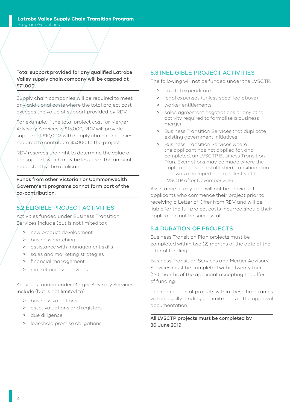Total support provided for any qualified Latrobe Valley supply chain company will be capped at \$71,000.

Supply chain companies will be required to meet any additional costs where the total project cost exceeds the value of support provided by RDV.

For example, if the total project cost for Merger Advisory Services is \$15,000, RDV will provide support of \$10,000, with supply chain companies required to contribute \$5,000 to the project.

RDV reserves the right to determine the value of the support, which may be less than the amount requested by the applicant.

Funds from other Victorian or Commonwealth Government programs cannot form part of the co-contribution.

## 5.2 ELIGIBLE PROJECT ACTIVITIES

Activities funded under Business Transition Services include (but is not limited to):

- > new product development
- > business matching
- > assistance with management skills
- > sales and marketing strategies
- > financial management
- market access activities.

Activities funded under Merger Advisory Services include (but is not limited to):

- > business valuations
- > asset valuations and registers
- > due diligence
- > leasehold premise obligations.

## 5.3 INELIGIBLE PROJECT ACTIVITIES

The following will not be funded under the LVSCTP:

- > capital expenditure
- > legal expenses (unless specified above)
- > worker entitlements
- > sales agreement negotiations or any other activity required to formalise a business merger
- > Business Transition Services that duplicate existing government initiatives
- > Business Transition Services where the applicant has not applied for, and completed, an LVSCTP Business Transition Plan. Exemptions may be made where the applicant has an established transition plan that was developed independently of the LVSCTP after November 2016.

Assistance of any kind will not be provided to applicants who commence their project prior to receiving a Letter of Offer from RDV and will be liable for the full project costs incurred should their application not be successful.

## 5.4 DURATION OF PROJECTS

Business Transition Plan projects must be completed within two (2) months of the date of the offer of funding.

Business Transition Services and Merger Advisory Services must be completed within twenty four (24) months of the applicant accepting the offer of funding.

The completion of projects within these timeframes will be legally binding commitments in the approval documentation.

All LVSCTP projects must be completed by 30 June 2019.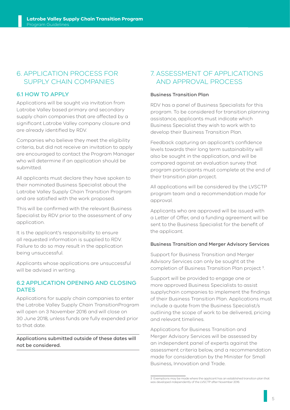## 6. APPLICATION PROCESS FOR SUPPLY CHAIN COMPANIES

### 6.1 HOW TO APPLY

Applications will be sought via invitation from Latrobe Valley based primary and secondary supply chain companies that are affected by a significant Latrobe Valley company closure and are already identified by RDV.

Companies who believe they meet the eligibility criteria, but did not receive an invitation to apply are encouraged to contact the Program Manager who will determine if an application should be submitted.

All applicants must declare they have spoken to their nominated Business Specialist about the Latrobe Valley Supply Chain Transition Program and are satisfied with the work proposed.

This will be confirmed with the relevant Business Specialist by RDV prior to the assessment of any application.

It is the applicant's responsibility to ensure all requested information is supplied to RDV. Failure to do so may result in the application being unsuccessful.

Applicants whose applications are unsuccessful will be advised in writing.

#### 6.2 APPLICATION OPENING AND CLOSING **DATES**

Applications for supply chain companies to enter the Latrobe Valley Supply Chain TransitionProgram will open on 3 November 2016 and will close on 30 June 2018, unless funds are fully expended prior to that date.

Applications submitted outside of these dates will not be considered.

## 7. ASSESSMENT OF APPLICATIONS AND APPROVAL PROCESS

#### Business Transition Plan

RDV has a panel of Business Specialists for this program. To be considered for transition planning assistance, applicants must indicate which Business Specialist they wish to work with to develop their Business Transition Plan.

Feedback capturing an applicant's confidence levels towards their long term sustainability will also be sought in the application, and will be compared against an evaluation survey that program participants must complete at the end of their transition plan project.

All applications will be considered by the LVSCTP program team and a recommendation made for approval.

Applicants who are approved will be issued with a Letter of Offer, and a funding agreement will be sent to the Business Specialist for the benefit of the applicant.

#### Business Transition and Merger Advisory Services

Support for Business Transition and Merger Advisory Services can only be sought at the completion of Business Transition Plan project 3.

Support will be provided to engage one or more approved Business Specialists to assist supplychain companies to implement the findings of their Business Transition Plan. Applications must include a quote from the Business Specialist/s outlining the scope of work to be delivered, pricing and relevant timelines.

Applications for Business Transition and Merger Advisory Services will be assessed by an independent panel of experts against the assessment criteria below, and a recommendation made for consideration by the Minister for Small Business, Innovation and Trade.

<sup>3</sup> Exemptions may be made where the applicant has an established transition plan that was developed independently of the LVSCTP after November 2016.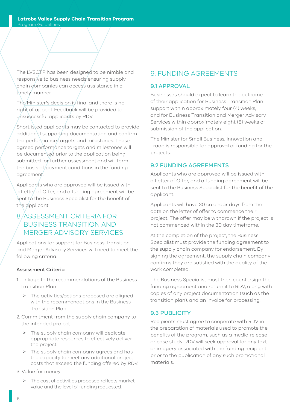The LVSCTP has been designed to be nimble and responsive to business needs ensuring supply chain companies can access assistance in a timely manner.

The Minister's decision is final and there is no right of appeal. Feedback will be provided to unsuccessful applicants by RDV.

Shortlisted applicants may be contacted to provide additional supporting documentation and confirm the performance targets and milestones. These agreed performance targets and milestones will be documented prior to the application being submitted for further assessment and will form the basis of payment conditions in the funding agreement.

Applicants who are approved will be issued with a Letter of Offer, and a funding agreement will be sent to the Business Specialist for the benefit of the applicant.

# 8. ASSESSMENT CRITERIA FOR BUSINESS TRANSITION AND MERGER ADVISORY SERVICES

Applications for support for Business Transition and Merger Advisory Services will need to meet the following criteria:

#### Assessment Criteria

- 1. Linkage to the recommendations of the Business Transition Plan
	- > The activities/actions proposed are aligned with the recommendations in the Business Transition Plan.
- 2. Commitment from the supply chain company to the intended project
	- > The supply chain company will dedicate appropriate resources to effectively deliver the project
	- > The supply chain company agrees and has the capacity to meet any additional project costs that exceed the funding offered by RDV.
- 3. Value for money
	- > The cost of activities proposed reflects market value and the level of funding requested.

## 9. FUNDING AGREEMENTS

#### 9.1 APPROVAL

Businesses should expect to learn the outcome of their application for Business Transition Plan support within approximately four (4) weeks, and for Business Transition and Merger Advisory Services within approximately eight (8) weeks of submission of the application.

The Minister for Small Business, Innovation and Trade is responsible for approval of funding for the projects.

## 9.2 FUNDING AGREEMENTS

Applicants who are approved will be issued with a Letter of Offer, and a funding agreement will be sent to the Business Specialist for the benefit of the applicant.

Applicants will have 30 calendar days from the date on the letter of offer to commence their project. The offer may be withdrawn if the project is not commenced within the 30 day timeframe.

At the completion of the project, the Business Specialist must provide the funding agreement to the supply chain company for endorsement. By signing the agreement, the supply chain company confirms they are satisfied with the quality of the work completed.

The Business Specialist must then countersign the funding agreement and return it to RDV, along with copies of any project documentation (such as the transition plan), and an invoice for processing.

#### 9.3 PUBLICITY

Recipients must agree to cooperate with RDV in the preparation of materials used to promote the benefits of the program, such as a media release or case study. RDV will seek approval for any text or imagery associated with the funding recipient prior to the publication of any such promotional materials.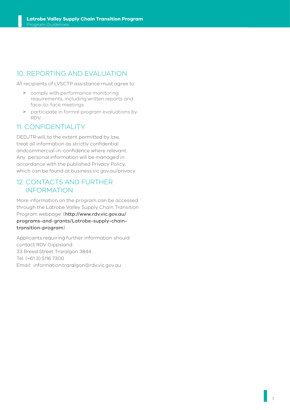# 10. REPORTING AND EVALUATION

All recipients of LVSCTP assistance must agree to:

- > comply with performance monitoring requirements, including written reports and face-to-face meetings
- > participate in formal program evaluations by RDV.

## 11. CONFIDENTIALITY

DEDJTR will, to the extent permitted by law, treat all information as strictly confidential andcommercial-in-confidence where relevant. Any personal information will be managed in accordance with the published Privacy Policy, which can be found at business.vic.gov.au/privacy.

## 12. CONTACTS AND FURTHER INFORMATION

More information on the program can be accessed through the Latrobe Valley Supply Chain Transition Program webpage: (http://www.rdv.vic.gov.au/ programs-and-grants/Latrobe-supply-chaintransition-program)

Applicants requiring further information should contact RDV Gippsland 33 Breed Street Traralgon 3844 Tel: (+61 3) 5116 7300 Email: information.traralgon@rdv.vic.gov.au